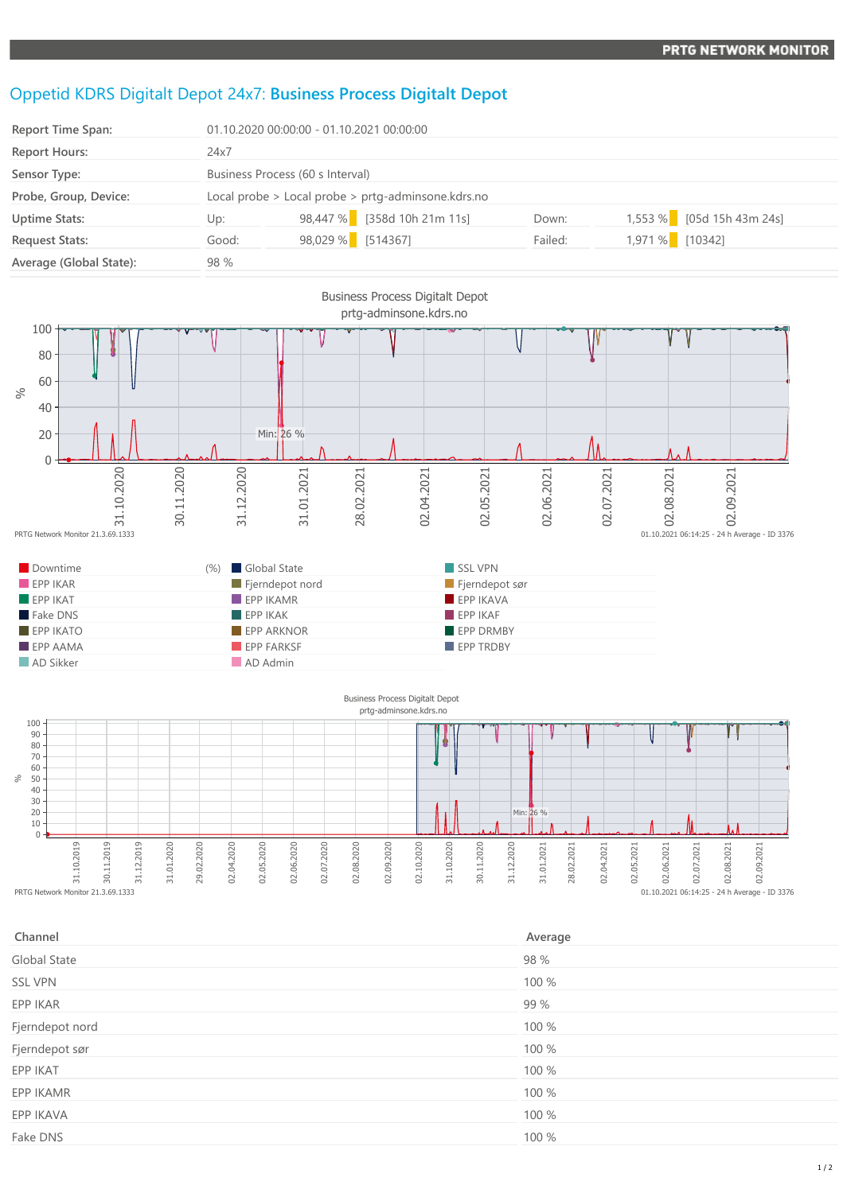## Oppetid KDRS Digitalt Depot 24x7: **Business Process Digitalt Depot**

| <b>Report Time Span:</b> | 01.10.2020 00:00:00 - 01.10.2021 00:00:00          |                   |                             |         |                 |                           |
|--------------------------|----------------------------------------------------|-------------------|-----------------------------|---------|-----------------|---------------------------|
| <b>Report Hours:</b>     | 24x7                                               |                   |                             |         |                 |                           |
| Sensor Type:             | Business Process (60 s Interval)                   |                   |                             |         |                 |                           |
| Probe, Group, Device:    | Local probe > Local probe > prtg-adminsone.kdrs.no |                   |                             |         |                 |                           |
| <b>Uptime Stats:</b>     | Up:                                                |                   | 98,447 % [358d 10h 21m 11s] | Down:   |                 | 1,553 % [05d 15h 43m 24s] |
| <b>Request Stats:</b>    | Good:                                              | 98,029 % [514367] |                             | Failed: | 1,971 % [10342] |                           |
| Average (Global State):  | 98 %                                               |                   |                             |         |                 |                           |



 $\sqrt{2}$ 31.10.2019<br>31.10.2019<br>PRTG Network Monitor 21.3.69.1333 30.11.2019 31.12.2019 31.01.2020 29.02.2020 02.04.2020 02.05.2020 02.06.2020 02.07.2020 02.08.2020 02.09.2020 02.10.2020 31.10.2020 30.11.2020 31.12.2020 31.01.2021 28.02.2021 02.04.2021 02.05.2021  $01.10.2021$   $06:14:25 - 24$  h Average - ID 3376

| Channel         | Average |
|-----------------|---------|
| Global State    | 98 %    |
| <b>SSL VPN</b>  | 100 %   |
| EPP IKAR        | 99 %    |
| Fjerndepot nord | 100 %   |
| Fjerndepot sør  | 100 %   |
| EPP IKAT        | 100 %   |
| EPP IKAMR       | 100 %   |
| EPP IKAVA       | 100 %   |
| Fake DNS        | 100 %   |
|                 |         |

02.06.2021

02.07.2021

02.08.2021

02.09.2021